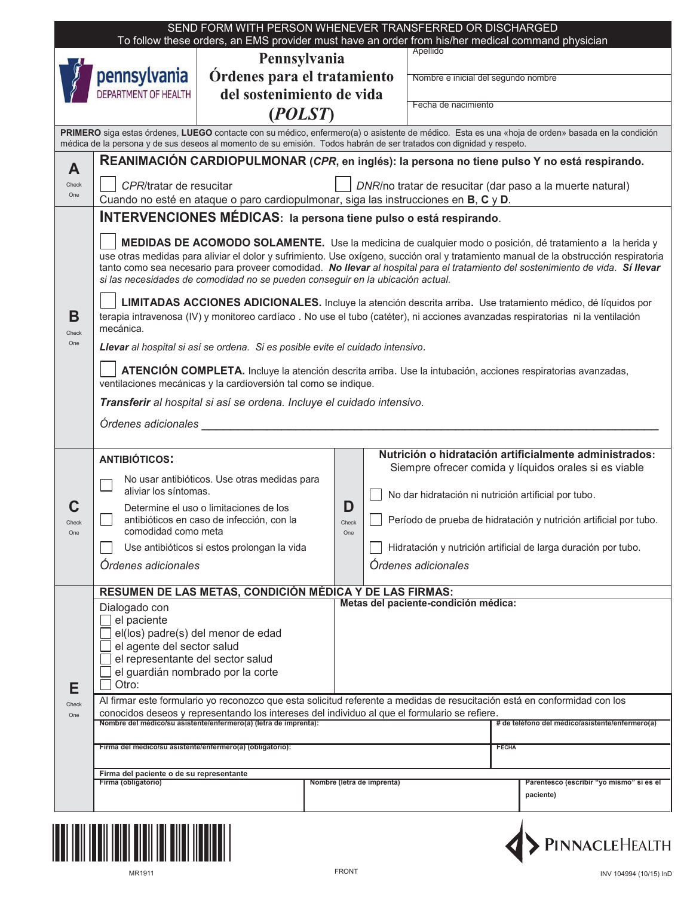| SEND FORM WITH PERSON WHENEVER TRANSFERRED OR DISCHARGED<br>To follow these orders, an EMS provider must have an order from his/her medical command physician                                                                                                           |                                                                                                                                                                                                                                                                                                                                                                                                                                                                                                                                                                                                                                                                                                                                      |                                                                                                                                                                                    |                   |  |                                                       |                                                                                                                                                                                                                                                                                                                |  |  |  |  |
|-------------------------------------------------------------------------------------------------------------------------------------------------------------------------------------------------------------------------------------------------------------------------|--------------------------------------------------------------------------------------------------------------------------------------------------------------------------------------------------------------------------------------------------------------------------------------------------------------------------------------------------------------------------------------------------------------------------------------------------------------------------------------------------------------------------------------------------------------------------------------------------------------------------------------------------------------------------------------------------------------------------------------|------------------------------------------------------------------------------------------------------------------------------------------------------------------------------------|-------------------|--|-------------------------------------------------------|----------------------------------------------------------------------------------------------------------------------------------------------------------------------------------------------------------------------------------------------------------------------------------------------------------------|--|--|--|--|
| Pennsylvania                                                                                                                                                                                                                                                            |                                                                                                                                                                                                                                                                                                                                                                                                                                                                                                                                                                                                                                                                                                                                      |                                                                                                                                                                                    |                   |  | Apellido                                              |                                                                                                                                                                                                                                                                                                                |  |  |  |  |
|                                                                                                                                                                                                                                                                         | pennsylvania                                                                                                                                                                                                                                                                                                                                                                                                                                                                                                                                                                                                                                                                                                                         | Órdenes para el tratamiento                                                                                                                                                        |                   |  | Nombre e inicial del segundo nombre                   |                                                                                                                                                                                                                                                                                                                |  |  |  |  |
|                                                                                                                                                                                                                                                                         | DEPARTMENT OF HEALTH<br>del sostenimiento de vida                                                                                                                                                                                                                                                                                                                                                                                                                                                                                                                                                                                                                                                                                    |                                                                                                                                                                                    |                   |  |                                                       |                                                                                                                                                                                                                                                                                                                |  |  |  |  |
| (POLST)                                                                                                                                                                                                                                                                 |                                                                                                                                                                                                                                                                                                                                                                                                                                                                                                                                                                                                                                                                                                                                      |                                                                                                                                                                                    |                   |  | Fecha de nacimiento                                   |                                                                                                                                                                                                                                                                                                                |  |  |  |  |
| PRIMERO siga estas órdenes, LUEGO contacte con su médico, enfermero(a) o asistente de médico. Esta es una «hoja de orden» basada en la condición<br>médica de la persona y de sus deseos al momento de su emisión. Todos habrán de ser tratados con dignidad y respeto. |                                                                                                                                                                                                                                                                                                                                                                                                                                                                                                                                                                                                                                                                                                                                      |                                                                                                                                                                                    |                   |  |                                                       |                                                                                                                                                                                                                                                                                                                |  |  |  |  |
| A                                                                                                                                                                                                                                                                       | <b>REANIMACIÓN CARDIOPULMONAR (CPR, en inglés): la persona no tiene pulso Y no está respirando.</b>                                                                                                                                                                                                                                                                                                                                                                                                                                                                                                                                                                                                                                  |                                                                                                                                                                                    |                   |  |                                                       |                                                                                                                                                                                                                                                                                                                |  |  |  |  |
| Check<br>One                                                                                                                                                                                                                                                            | CPR/tratar de resucitar<br>DNR/no tratar de resucitar (dar paso a la muerte natural)<br>Cuando no esté en ataque o paro cardiopulmonar, siga las instrucciones en B, C y D.                                                                                                                                                                                                                                                                                                                                                                                                                                                                                                                                                          |                                                                                                                                                                                    |                   |  |                                                       |                                                                                                                                                                                                                                                                                                                |  |  |  |  |
|                                                                                                                                                                                                                                                                         | <b>INTERVENCIONES MÉDICAS:</b> la persona tiene pulso o está respirando.                                                                                                                                                                                                                                                                                                                                                                                                                                                                                                                                                                                                                                                             |                                                                                                                                                                                    |                   |  |                                                       |                                                                                                                                                                                                                                                                                                                |  |  |  |  |
| В                                                                                                                                                                                                                                                                       | MEDIDAS DE ACOMODO SOLAMENTE. Use la medicina de cualquier modo o posición, dé tratamiento a la herida y<br>use otras medidas para aliviar el dolor y sufrimiento. Use oxígeno, succión oral y tratamiento manual de la obstrucción respiratoria<br>tanto como sea necesario para proveer comodidad. No llevar al hospital para el tratamiento del sostenimiento de vida. Sí llevar<br>si las necesidades de comodidad no se pueden conseguir en la ubicación actual.<br>LIMITADAS ACCIONES ADICIONALES. Incluye la atención descrita arriba. Use tratamiento médico, dé líquidos por<br>terapia intravenosa (IV) y monitoreo cardíaco. No use el tubo (catéter), ni acciones avanzadas respiratorias ni la ventilación<br>mecánica. |                                                                                                                                                                                    |                   |  |                                                       |                                                                                                                                                                                                                                                                                                                |  |  |  |  |
| Check<br>One                                                                                                                                                                                                                                                            | Llevar al hospital si así se ordena. Si es posible evite el cuidado intensivo.<br>ATENCIÓN COMPLETA. Incluye la atención descrita arriba. Use la intubación, acciones respiratorias avanzadas,<br>ventilaciones mecánicas y la cardioversión tal como se indique.<br>Transferir al hospital si así se ordena. Incluye el cuidado intensivo.<br>Órdenes adicionales                                                                                                                                                                                                                                                                                                                                                                   |                                                                                                                                                                                    |                   |  |                                                       |                                                                                                                                                                                                                                                                                                                |  |  |  |  |
| Check<br>One                                                                                                                                                                                                                                                            | <b>ANTIBIÓTICOS:</b><br>aliviar los síntomas.<br>comodidad como meta<br>Ordenes adicionales                                                                                                                                                                                                                                                                                                                                                                                                                                                                                                                                                                                                                                          | No usar antibióticos. Use otras medidas para<br>Determine el uso o limitaciones de los<br>antibióticos en caso de infección, con la<br>Use antibióticos si estos prolongan la vida | D<br>Check<br>One |  | <b>Ordenes adicionales</b>                            | Nutrición o hidratación artificialmente administrados:<br>Siempre ofrecer comida y líquidos orales si es viable<br>No dar hidratación ni nutrición artificial por tubo.<br>Período de prueba de hidratación y nutrición artificial por tubo.<br>Hidratación y nutrición artificial de larga duración por tubo. |  |  |  |  |
| E<br>Check<br>One                                                                                                                                                                                                                                                       | RESUMEN DE LAS METAS, CONDICIÓN MÉDICA Y DE LAS FIRMAS:<br>Metas del paciente-condición médica:<br>Dialogado con<br>el paciente<br>el(los) padre(s) del menor de edad<br>el agente del sector salud<br>el representante del sector salud<br>el guardián nombrado por la corte<br>Otro:<br>Al firmar este formulario yo reconozco que esta solicitud referente a medidas de resucitación está en conformidad con los<br>conocidos deseos y representando los intereses del individuo al que el formulario se refiere.                                                                                                                                                                                                                 |                                                                                                                                                                                    |                   |  |                                                       |                                                                                                                                                                                                                                                                                                                |  |  |  |  |
|                                                                                                                                                                                                                                                                         | Nombre del médico/su asistente/enfermero(a) (letra de imprenta):<br>Firma del médico/su asistente/enfermero(a) (obligatorio):                                                                                                                                                                                                                                                                                                                                                                                                                                                                                                                                                                                                        |                                                                                                                                                                                    |                   |  |                                                       | # de teléfono del médico/asistente/enfermero(a)<br><b>FECHA</b>                                                                                                                                                                                                                                                |  |  |  |  |
| Firma del paciente o de su representante                                                                                                                                                                                                                                |                                                                                                                                                                                                                                                                                                                                                                                                                                                                                                                                                                                                                                                                                                                                      |                                                                                                                                                                                    |                   |  |                                                       |                                                                                                                                                                                                                                                                                                                |  |  |  |  |
|                                                                                                                                                                                                                                                                         | Firma (obligatorio)<br>Nombre (letra de imprenta)                                                                                                                                                                                                                                                                                                                                                                                                                                                                                                                                                                                                                                                                                    |                                                                                                                                                                                    |                   |  | Parentesco (escribir "yo mismo" si es el<br>paciente) |                                                                                                                                                                                                                                                                                                                |  |  |  |  |



PINNACLEHEALTH